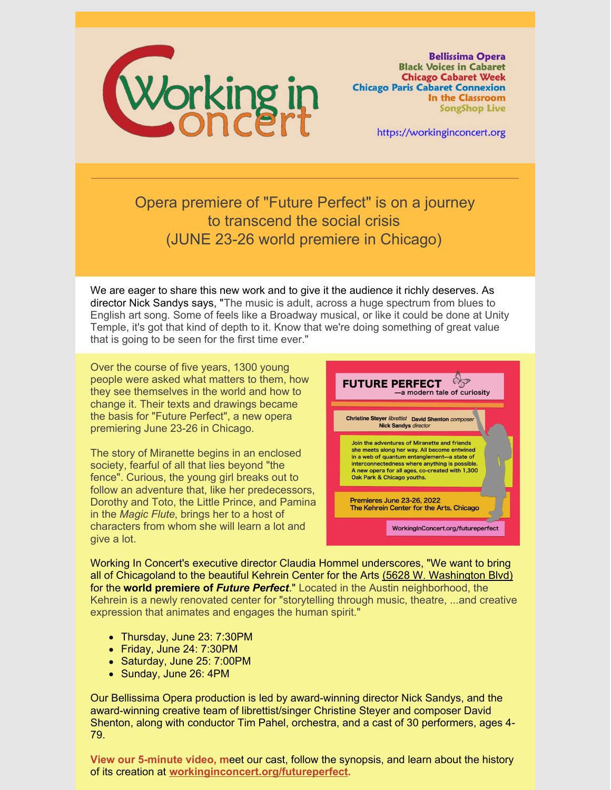

**Bellissima Opera Black Voices in Cabaret Chicago Cabaret Week Chicago Paris Cabaret Connexion** In the Classroom **SongShop Live** 

https://workinginconcert.org

Opera premiere of "Future Perfect" is on a journey to transcend the social crisis (JUNE 23-26 world premiere in Chicago)

We are eager to share this new work and to give it the audience it richly deserves. As director Nick Sandys says, "The music is adult, across a huge spectrum from blues to English art song. Some of feels like a Broadway musical, or like it could be done at Unity Temple, it's got that kind of depth to it. Know that we're doing something of great value that is going to be seen for the first time ever."

Over the course of five years, 1300 young people were asked what matters to them, how they see themselves in the world and how to change it. Their texts and drawings became the basis for "Future Perfect", a new opera premiering June 23-26 in Chicago.

The story of Miranette begins in an enclosed society, fearful of all that lies beyond "the fence". Curious, the young girl breaks out to follow an adventure that, like her predecessors, Dorothy and Toto, the Little Prince, and Pamina in the *Magic Flute*, brings her to a host of characters from whom she will learn a lot and give a lot.



Working In Concert's executive director Claudia Hommel underscores, "We want to bring all of Chicagoland to the beautiful Kehrein Center for the Arts (5628 W. [Washington](https://www.kehreincenter.com/) Blvd) for the **world premiere of** *Future Perfect*." Located in the Austin neighborhood, the Kehrein is a newly renovated center for "storytelling through music, theatre, ...and creative expression that animates and engages the human spirit."

- Thursday, June 23: 7:30PM
- Friday, June 24: 7:30PM
- Saturday, June 25: 7:00PM
- Sunday, June 26: 4PM

Our Bellissima Opera production is led by award-winning director Nick Sandys, and the award-winning creative team of librettist/singer Christine Steyer and composer David Shenton, along with conductor Tim Pahel, orchestra, and a cast of 30 performers, ages 4- 79.

**View our 5-minute video, m**eet our cast, follow the synopsis, and learn about the history of its creation at **[workinginconcert.org/futureperfect](https://workinginconcert.org/futureperfect).**